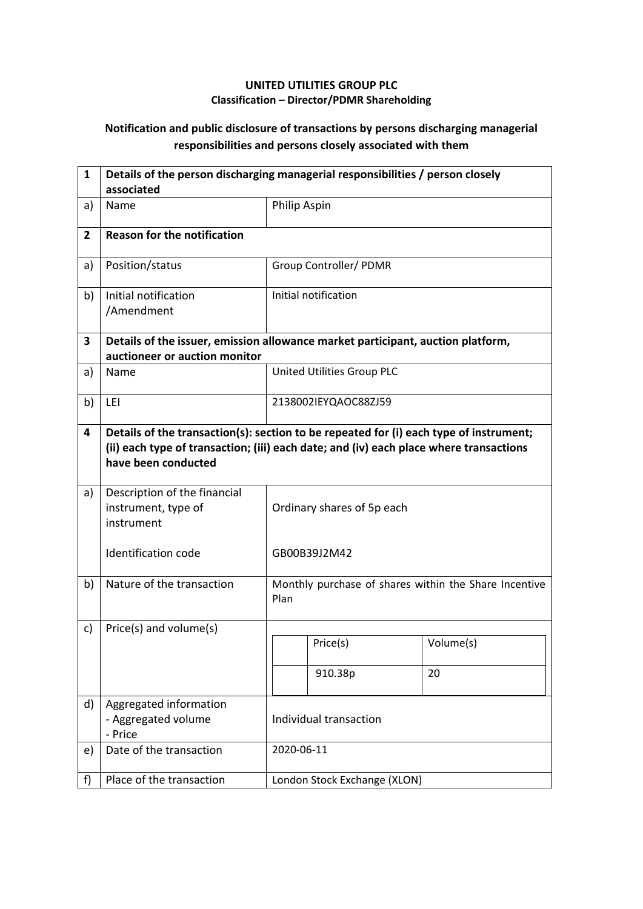## **UNITED UTILITIES GROUP PLC Classification – Director/PDMR Shareholding**

## **Notification and public disclosure of transactions by persons discharging managerial responsibilities and persons closely associated with them**

| $\mathbf{1}$   | Details of the person discharging managerial responsibilities / person closely<br>associated                     |                                                                                                                                                                                  |                              |                                                       |  |  |
|----------------|------------------------------------------------------------------------------------------------------------------|----------------------------------------------------------------------------------------------------------------------------------------------------------------------------------|------------------------------|-------------------------------------------------------|--|--|
| a)             | Name                                                                                                             | Philip Aspin                                                                                                                                                                     |                              |                                                       |  |  |
| $\overline{2}$ | <b>Reason for the notification</b>                                                                               |                                                                                                                                                                                  |                              |                                                       |  |  |
| a)             | Position/status                                                                                                  |                                                                                                                                                                                  | Group Controller/ PDMR       |                                                       |  |  |
| b)             | Initial notification<br>/Amendment                                                                               |                                                                                                                                                                                  | Initial notification         |                                                       |  |  |
| 3              | Details of the issuer, emission allowance market participant, auction platform,<br>auctioneer or auction monitor |                                                                                                                                                                                  |                              |                                                       |  |  |
| a)             | Name                                                                                                             |                                                                                                                                                                                  | United Utilities Group PLC   |                                                       |  |  |
| b)             | LEI                                                                                                              | 2138002IEYQAOC88ZJ59                                                                                                                                                             |                              |                                                       |  |  |
| 4              | have been conducted                                                                                              | Details of the transaction(s): section to be repeated for (i) each type of instrument;<br>(ii) each type of transaction; (iii) each date; and (iv) each place where transactions |                              |                                                       |  |  |
| a)             | Description of the financial<br>instrument, type of<br>instrument                                                | Ordinary shares of 5p each                                                                                                                                                       |                              |                                                       |  |  |
|                | <b>Identification code</b>                                                                                       |                                                                                                                                                                                  | GB00B39J2M42                 |                                                       |  |  |
| b)             | Nature of the transaction                                                                                        | Plan                                                                                                                                                                             |                              | Monthly purchase of shares within the Share Incentive |  |  |
| c)             | Price(s) and volume(s)                                                                                           |                                                                                                                                                                                  |                              |                                                       |  |  |
|                |                                                                                                                  |                                                                                                                                                                                  | Price(s)                     | Volume(s)                                             |  |  |
|                |                                                                                                                  |                                                                                                                                                                                  | 910.38p                      | 20                                                    |  |  |
| d)             | Aggregated information<br>- Aggregated volume<br>- Price                                                         | Individual transaction                                                                                                                                                           |                              |                                                       |  |  |
| e)             | Date of the transaction                                                                                          |                                                                                                                                                                                  | 2020-06-11                   |                                                       |  |  |
| f)             | Place of the transaction                                                                                         |                                                                                                                                                                                  | London Stock Exchange (XLON) |                                                       |  |  |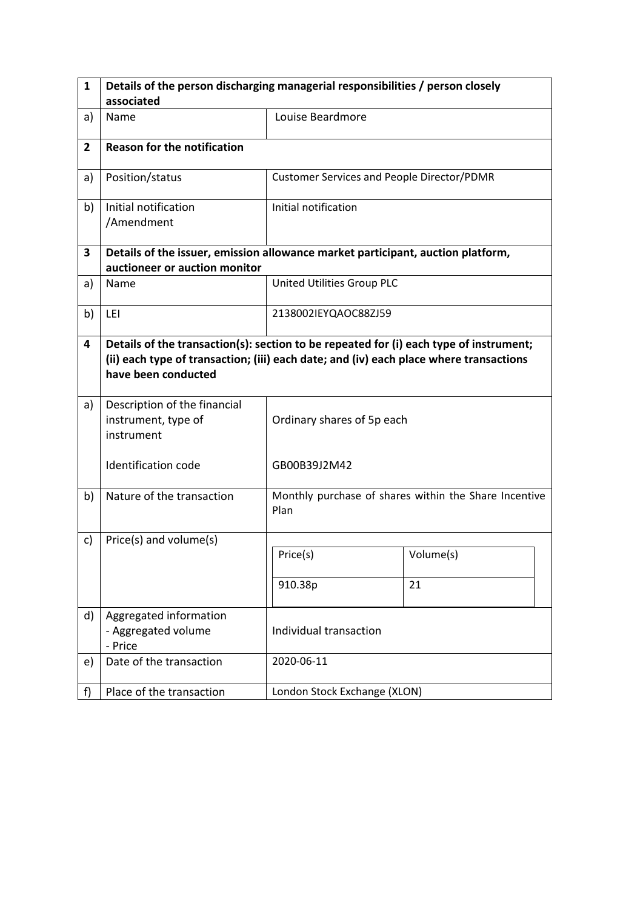| $\mathbf{1}$   | Details of the person discharging managerial responsibilities / person closely                                                                                                                          |                                                   |                                                       |  |  |  |
|----------------|---------------------------------------------------------------------------------------------------------------------------------------------------------------------------------------------------------|---------------------------------------------------|-------------------------------------------------------|--|--|--|
|                | associated                                                                                                                                                                                              |                                                   |                                                       |  |  |  |
| a)             | Name                                                                                                                                                                                                    | Louise Beardmore                                  |                                                       |  |  |  |
| $\overline{2}$ | <b>Reason for the notification</b>                                                                                                                                                                      |                                                   |                                                       |  |  |  |
| a)             | Position/status                                                                                                                                                                                         | <b>Customer Services and People Director/PDMR</b> |                                                       |  |  |  |
| b)             | Initial notification<br>/Amendment                                                                                                                                                                      | Initial notification                              |                                                       |  |  |  |
| 3              | Details of the issuer, emission allowance market participant, auction platform,<br>auctioneer or auction monitor                                                                                        |                                                   |                                                       |  |  |  |
| a)             | Name                                                                                                                                                                                                    | United Utilities Group PLC                        |                                                       |  |  |  |
| b)             | LEI                                                                                                                                                                                                     | 2138002IEYQAOC88ZJ59                              |                                                       |  |  |  |
| 4              | Details of the transaction(s): section to be repeated for (i) each type of instrument;<br>(ii) each type of transaction; (iii) each date; and (iv) each place where transactions<br>have been conducted |                                                   |                                                       |  |  |  |
| a)             | Description of the financial<br>instrument, type of<br>instrument                                                                                                                                       | Ordinary shares of 5p each                        |                                                       |  |  |  |
|                | Identification code                                                                                                                                                                                     | GB00B39J2M42                                      |                                                       |  |  |  |
| b)             | Nature of the transaction                                                                                                                                                                               | Plan                                              | Monthly purchase of shares within the Share Incentive |  |  |  |
| c)             | Price(s) and volume(s)                                                                                                                                                                                  |                                                   |                                                       |  |  |  |
|                |                                                                                                                                                                                                         | Price(s)                                          | Volume(s)                                             |  |  |  |
|                |                                                                                                                                                                                                         | 910.38p                                           | 21                                                    |  |  |  |
| d)             | Aggregated information<br>- Aggregated volume<br>- Price                                                                                                                                                | Individual transaction                            |                                                       |  |  |  |
| e)             | Date of the transaction                                                                                                                                                                                 | 2020-06-11                                        |                                                       |  |  |  |
| f)             | Place of the transaction                                                                                                                                                                                | London Stock Exchange (XLON)                      |                                                       |  |  |  |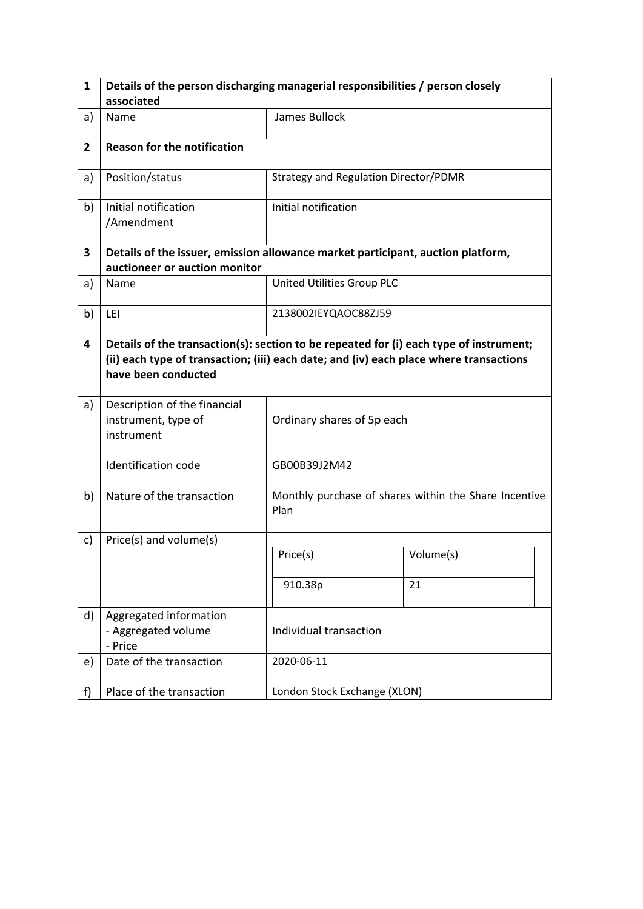| $\mathbf{1}$   | Details of the person discharging managerial responsibilities / person closely                                                                                                                          |                                       |                                                       |  |  |  |
|----------------|---------------------------------------------------------------------------------------------------------------------------------------------------------------------------------------------------------|---------------------------------------|-------------------------------------------------------|--|--|--|
|                | associated                                                                                                                                                                                              |                                       |                                                       |  |  |  |
| a)             | Name                                                                                                                                                                                                    | James Bullock                         |                                                       |  |  |  |
| $\overline{2}$ | <b>Reason for the notification</b>                                                                                                                                                                      |                                       |                                                       |  |  |  |
| a)             | Position/status                                                                                                                                                                                         | Strategy and Regulation Director/PDMR |                                                       |  |  |  |
| b)             | Initial notification<br>/Amendment                                                                                                                                                                      | Initial notification                  |                                                       |  |  |  |
| 3              | Details of the issuer, emission allowance market participant, auction platform,<br>auctioneer or auction monitor                                                                                        |                                       |                                                       |  |  |  |
| a)             | Name                                                                                                                                                                                                    | United Utilities Group PLC            |                                                       |  |  |  |
| b)             | LEI                                                                                                                                                                                                     | 2138002IEYQAOC88ZJ59                  |                                                       |  |  |  |
| 4              | Details of the transaction(s): section to be repeated for (i) each type of instrument;<br>(ii) each type of transaction; (iii) each date; and (iv) each place where transactions<br>have been conducted |                                       |                                                       |  |  |  |
| a)             | Description of the financial<br>instrument, type of<br>instrument                                                                                                                                       | Ordinary shares of 5p each            |                                                       |  |  |  |
|                | Identification code                                                                                                                                                                                     | GB00B39J2M42                          |                                                       |  |  |  |
| b)             | Nature of the transaction                                                                                                                                                                               | Plan                                  | Monthly purchase of shares within the Share Incentive |  |  |  |
| c)             | Price(s) and volume(s)                                                                                                                                                                                  |                                       |                                                       |  |  |  |
|                |                                                                                                                                                                                                         | Price(s)                              | Volume(s)                                             |  |  |  |
|                |                                                                                                                                                                                                         | 910.38p                               | 21                                                    |  |  |  |
| d)             | Aggregated information<br>- Aggregated volume<br>- Price                                                                                                                                                | Individual transaction                |                                                       |  |  |  |
| e)             | Date of the transaction                                                                                                                                                                                 | 2020-06-11                            |                                                       |  |  |  |
| f)             | Place of the transaction                                                                                                                                                                                | London Stock Exchange (XLON)          |                                                       |  |  |  |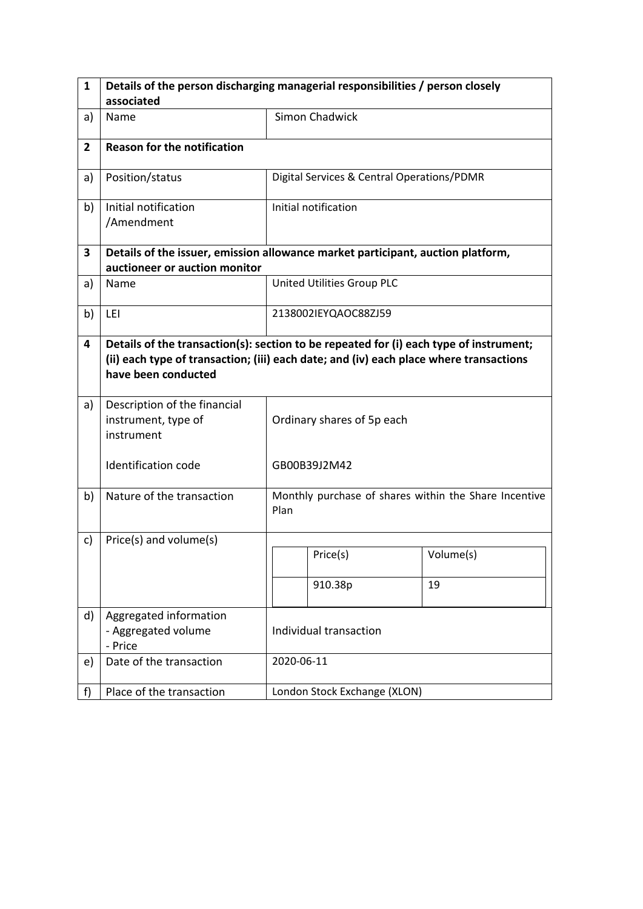| $\mathbf{1}$   | Details of the person discharging managerial responsibilities / person closely                                                                                                                          |                            |                                                       |           |  |
|----------------|---------------------------------------------------------------------------------------------------------------------------------------------------------------------------------------------------------|----------------------------|-------------------------------------------------------|-----------|--|
|                | associated                                                                                                                                                                                              |                            |                                                       |           |  |
| a)             | Name                                                                                                                                                                                                    |                            | <b>Simon Chadwick</b>                                 |           |  |
| $\overline{2}$ | <b>Reason for the notification</b>                                                                                                                                                                      |                            |                                                       |           |  |
| a)             | Position/status                                                                                                                                                                                         |                            | Digital Services & Central Operations/PDMR            |           |  |
| b)             | Initial notification<br>/Amendment                                                                                                                                                                      |                            | Initial notification                                  |           |  |
| 3              | Details of the issuer, emission allowance market participant, auction platform,<br>auctioneer or auction monitor                                                                                        |                            |                                                       |           |  |
| a)             | Name                                                                                                                                                                                                    |                            | United Utilities Group PLC                            |           |  |
| b)             | LEI                                                                                                                                                                                                     |                            | 2138002IEYQAOC88ZJ59                                  |           |  |
| 4              | Details of the transaction(s): section to be repeated for (i) each type of instrument;<br>(ii) each type of transaction; (iii) each date; and (iv) each place where transactions<br>have been conducted |                            |                                                       |           |  |
| a)             | Description of the financial<br>instrument, type of<br>instrument                                                                                                                                       | Ordinary shares of 5p each |                                                       |           |  |
|                | Identification code                                                                                                                                                                                     |                            | GB00B39J2M42                                          |           |  |
| b)             | Nature of the transaction                                                                                                                                                                               | Plan                       | Monthly purchase of shares within the Share Incentive |           |  |
| c)             | Price(s) and volume(s)                                                                                                                                                                                  |                            |                                                       |           |  |
|                |                                                                                                                                                                                                         |                            | Price(s)                                              | Volume(s) |  |
|                |                                                                                                                                                                                                         |                            | 910.38p                                               | 19        |  |
| d)             | Aggregated information<br>- Aggregated volume<br>- Price                                                                                                                                                | Individual transaction     |                                                       |           |  |
| e)             | Date of the transaction                                                                                                                                                                                 |                            | 2020-06-11                                            |           |  |
| f)             | Place of the transaction                                                                                                                                                                                |                            | London Stock Exchange (XLON)                          |           |  |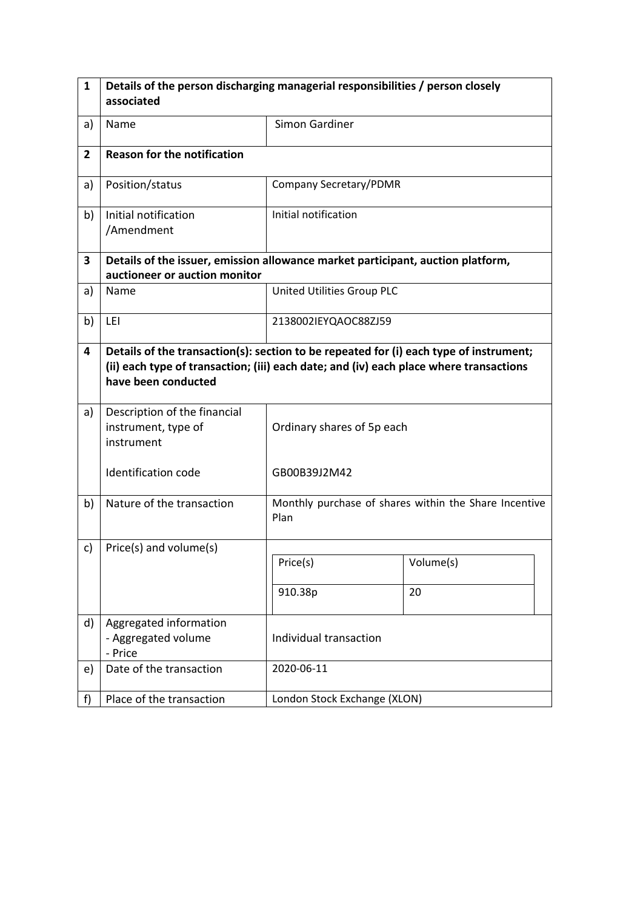| $\mathbf{1}$   | Details of the person discharging managerial responsibilities / person closely                                                                                                                          |                              |                                                       |  |  |  |
|----------------|---------------------------------------------------------------------------------------------------------------------------------------------------------------------------------------------------------|------------------------------|-------------------------------------------------------|--|--|--|
|                | associated                                                                                                                                                                                              |                              |                                                       |  |  |  |
| a)             | Name                                                                                                                                                                                                    | Simon Gardiner               |                                                       |  |  |  |
| $\overline{2}$ | <b>Reason for the notification</b>                                                                                                                                                                      |                              |                                                       |  |  |  |
| a)             | Position/status                                                                                                                                                                                         |                              | Company Secretary/PDMR                                |  |  |  |
| b)             | Initial notification<br>/Amendment                                                                                                                                                                      | Initial notification         |                                                       |  |  |  |
| 3              | Details of the issuer, emission allowance market participant, auction platform,<br>auctioneer or auction monitor                                                                                        |                              |                                                       |  |  |  |
| a)             | <b>Name</b>                                                                                                                                                                                             | United Utilities Group PLC   |                                                       |  |  |  |
| b)             | LEI                                                                                                                                                                                                     | 2138002IEYQAOC88ZJ59         |                                                       |  |  |  |
| 4              | Details of the transaction(s): section to be repeated for (i) each type of instrument;<br>(ii) each type of transaction; (iii) each date; and (iv) each place where transactions<br>have been conducted |                              |                                                       |  |  |  |
| a)             | Description of the financial<br>instrument, type of<br>instrument                                                                                                                                       | Ordinary shares of 5p each   |                                                       |  |  |  |
|                | <b>Identification code</b>                                                                                                                                                                              | GB00B39J2M42                 |                                                       |  |  |  |
| b)             | Nature of the transaction                                                                                                                                                                               | Plan                         | Monthly purchase of shares within the Share Incentive |  |  |  |
| c)             | Price(s) and volume(s)                                                                                                                                                                                  |                              |                                                       |  |  |  |
|                |                                                                                                                                                                                                         | Price(s)                     | Volume(s)                                             |  |  |  |
|                |                                                                                                                                                                                                         | 910.38p                      | 20                                                    |  |  |  |
| d)             | Aggregated information<br>- Aggregated volume<br>- Price                                                                                                                                                | Individual transaction       |                                                       |  |  |  |
| e)             | Date of the transaction                                                                                                                                                                                 | 2020-06-11                   |                                                       |  |  |  |
| f              | Place of the transaction                                                                                                                                                                                | London Stock Exchange (XLON) |                                                       |  |  |  |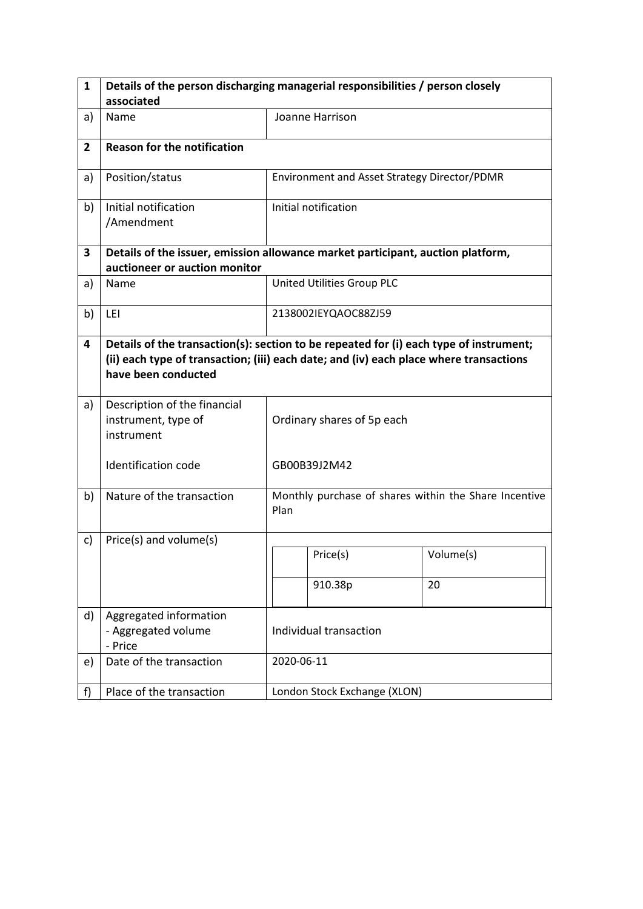| 1              | Details of the person discharging managerial responsibilities / person closely                                                                                                                          |                            |                                                       |           |  |
|----------------|---------------------------------------------------------------------------------------------------------------------------------------------------------------------------------------------------------|----------------------------|-------------------------------------------------------|-----------|--|
|                | associated                                                                                                                                                                                              |                            |                                                       |           |  |
| a)             | Name                                                                                                                                                                                                    |                            | Joanne Harrison                                       |           |  |
| $\overline{2}$ | <b>Reason for the notification</b>                                                                                                                                                                      |                            |                                                       |           |  |
| a)             | Position/status                                                                                                                                                                                         |                            | Environment and Asset Strategy Director/PDMR          |           |  |
| b)             | Initial notification<br>/Amendment                                                                                                                                                                      |                            | Initial notification                                  |           |  |
| 3              | Details of the issuer, emission allowance market participant, auction platform,<br>auctioneer or auction monitor                                                                                        |                            |                                                       |           |  |
| a)             | Name                                                                                                                                                                                                    |                            | United Utilities Group PLC                            |           |  |
| b)             | LEI                                                                                                                                                                                                     |                            | 2138002IEYQAOC88ZJ59                                  |           |  |
| 4              | Details of the transaction(s): section to be repeated for (i) each type of instrument;<br>(ii) each type of transaction; (iii) each date; and (iv) each place where transactions<br>have been conducted |                            |                                                       |           |  |
| a)             | Description of the financial<br>instrument, type of<br>instrument                                                                                                                                       | Ordinary shares of 5p each |                                                       |           |  |
|                | <b>Identification code</b>                                                                                                                                                                              |                            | GB00B39J2M42                                          |           |  |
| b)             | Nature of the transaction                                                                                                                                                                               | Plan                       | Monthly purchase of shares within the Share Incentive |           |  |
| c)             | Price(s) and volume(s)                                                                                                                                                                                  |                            |                                                       |           |  |
|                |                                                                                                                                                                                                         |                            | Price(s)                                              | Volume(s) |  |
|                |                                                                                                                                                                                                         |                            | 910.38p                                               | 20        |  |
| d)             | Aggregated information<br>- Aggregated volume<br>- Price                                                                                                                                                | Individual transaction     |                                                       |           |  |
| e)             | Date of the transaction                                                                                                                                                                                 |                            | 2020-06-11                                            |           |  |
| f)             | Place of the transaction                                                                                                                                                                                |                            | London Stock Exchange (XLON)                          |           |  |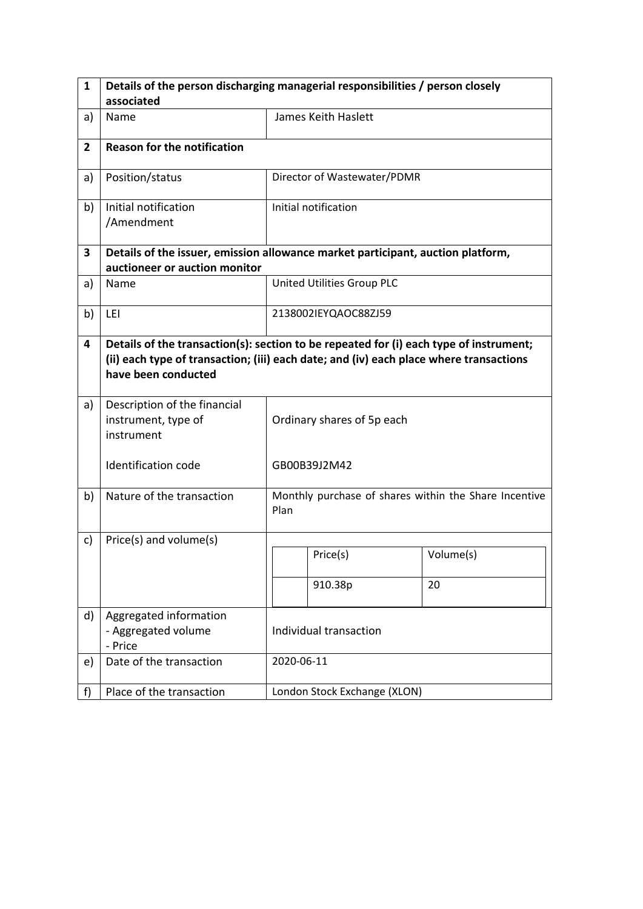| $\mathbf{1}$   | Details of the person discharging managerial responsibilities / person closely                                                                                                                          |                                                               |                              |           |  |
|----------------|---------------------------------------------------------------------------------------------------------------------------------------------------------------------------------------------------------|---------------------------------------------------------------|------------------------------|-----------|--|
|                | associated                                                                                                                                                                                              |                                                               |                              |           |  |
| a)             | Name                                                                                                                                                                                                    |                                                               | James Keith Haslett          |           |  |
| $\overline{2}$ | <b>Reason for the notification</b>                                                                                                                                                                      |                                                               |                              |           |  |
| a)             | Position/status                                                                                                                                                                                         |                                                               | Director of Wastewater/PDMR  |           |  |
| b)             | Initial notification<br>/Amendment                                                                                                                                                                      |                                                               | Initial notification         |           |  |
| 3              | Details of the issuer, emission allowance market participant, auction platform,<br>auctioneer or auction monitor                                                                                        |                                                               |                              |           |  |
| a)             | Name                                                                                                                                                                                                    |                                                               | United Utilities Group PLC   |           |  |
| b)             | LEI                                                                                                                                                                                                     |                                                               | 2138002IEYQAOC88ZJ59         |           |  |
| 4              | Details of the transaction(s): section to be repeated for (i) each type of instrument;<br>(ii) each type of transaction; (iii) each date; and (iv) each place where transactions<br>have been conducted |                                                               |                              |           |  |
| a)             | Description of the financial<br>instrument, type of<br>instrument                                                                                                                                       | Ordinary shares of 5p each                                    |                              |           |  |
|                | <b>Identification code</b>                                                                                                                                                                              | GB00B39J2M42                                                  |                              |           |  |
| b)             | Nature of the transaction                                                                                                                                                                               | Monthly purchase of shares within the Share Incentive<br>Plan |                              |           |  |
| c)             | Price(s) and volume(s)                                                                                                                                                                                  |                                                               |                              |           |  |
|                |                                                                                                                                                                                                         |                                                               | Price(s)                     | Volume(s) |  |
|                |                                                                                                                                                                                                         |                                                               | 910.38p                      | 20        |  |
| d)             | Aggregated information<br>- Aggregated volume<br>- Price                                                                                                                                                | Individual transaction                                        |                              |           |  |
| e)             | Date of the transaction                                                                                                                                                                                 |                                                               | 2020-06-11                   |           |  |
| f)             | Place of the transaction                                                                                                                                                                                |                                                               | London Stock Exchange (XLON) |           |  |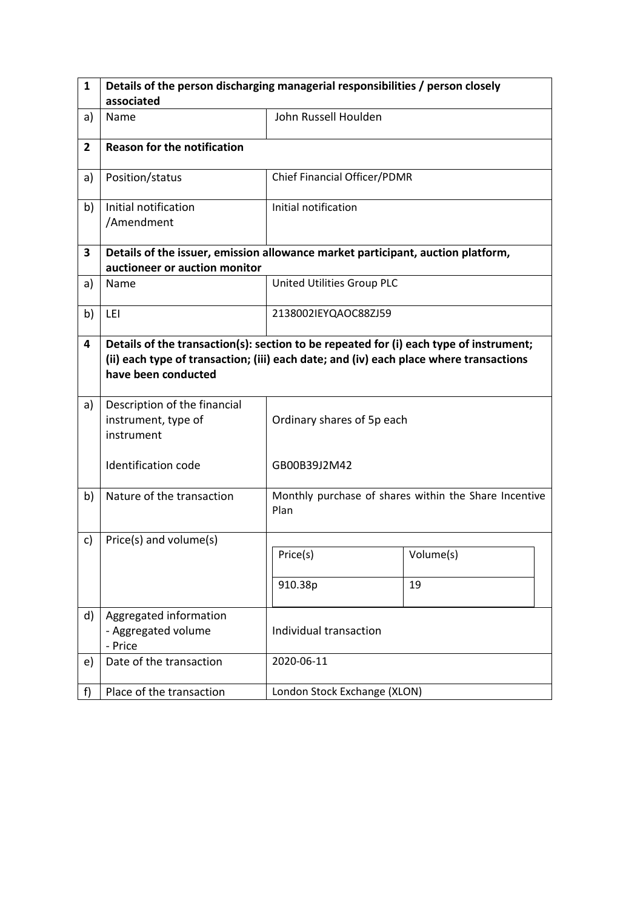| $\mathbf{1}$   | Details of the person discharging managerial responsibilities / person closely                                                                                                                          |                              |                                                       |  |  |  |
|----------------|---------------------------------------------------------------------------------------------------------------------------------------------------------------------------------------------------------|------------------------------|-------------------------------------------------------|--|--|--|
|                | associated                                                                                                                                                                                              |                              |                                                       |  |  |  |
| a)             | Name                                                                                                                                                                                                    | John Russell Houlden         |                                                       |  |  |  |
| $\overline{2}$ | <b>Reason for the notification</b>                                                                                                                                                                      |                              |                                                       |  |  |  |
| a)             | Position/status                                                                                                                                                                                         | Chief Financial Officer/PDMR |                                                       |  |  |  |
| b)             | Initial notification<br>/Amendment                                                                                                                                                                      | Initial notification         |                                                       |  |  |  |
| 3              | Details of the issuer, emission allowance market participant, auction platform,<br>auctioneer or auction monitor                                                                                        |                              |                                                       |  |  |  |
| a)             | Name                                                                                                                                                                                                    | United Utilities Group PLC   |                                                       |  |  |  |
| b)             | LEI                                                                                                                                                                                                     | 2138002IEYQAOC88ZJ59         |                                                       |  |  |  |
| 4              | Details of the transaction(s): section to be repeated for (i) each type of instrument;<br>(ii) each type of transaction; (iii) each date; and (iv) each place where transactions<br>have been conducted |                              |                                                       |  |  |  |
| a)             | Description of the financial<br>instrument, type of<br>instrument                                                                                                                                       | Ordinary shares of 5p each   |                                                       |  |  |  |
|                | Identification code                                                                                                                                                                                     | GB00B39J2M42                 |                                                       |  |  |  |
| b)             | Nature of the transaction                                                                                                                                                                               | Plan                         | Monthly purchase of shares within the Share Incentive |  |  |  |
| c)             | Price(s) and volume(s)                                                                                                                                                                                  |                              |                                                       |  |  |  |
|                |                                                                                                                                                                                                         | Price(s)                     | Volume(s)                                             |  |  |  |
|                |                                                                                                                                                                                                         | 910.38p                      | 19                                                    |  |  |  |
| d)             | Aggregated information<br>- Aggregated volume<br>- Price                                                                                                                                                | Individual transaction       |                                                       |  |  |  |
| e)             | Date of the transaction                                                                                                                                                                                 | 2020-06-11                   |                                                       |  |  |  |
| f)             | Place of the transaction                                                                                                                                                                                | London Stock Exchange (XLON) |                                                       |  |  |  |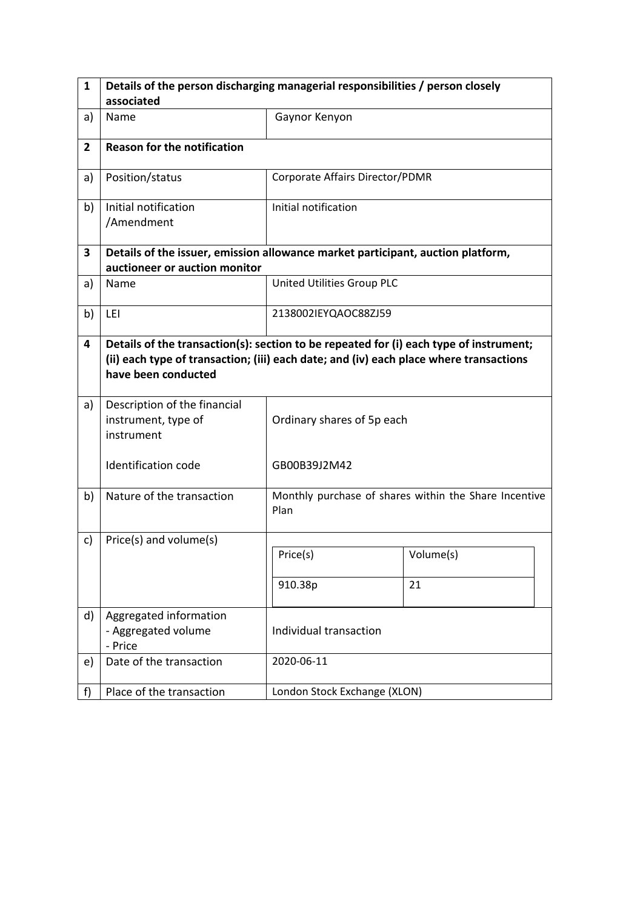| $\mathbf{1}$   | Details of the person discharging managerial responsibilities / person closely                                                                                                                          |                                 |                                                       |  |  |  |
|----------------|---------------------------------------------------------------------------------------------------------------------------------------------------------------------------------------------------------|---------------------------------|-------------------------------------------------------|--|--|--|
|                | associated                                                                                                                                                                                              |                                 |                                                       |  |  |  |
| a)             | Name                                                                                                                                                                                                    | Gaynor Kenyon                   |                                                       |  |  |  |
| $\overline{2}$ | <b>Reason for the notification</b>                                                                                                                                                                      |                                 |                                                       |  |  |  |
| a)             | Position/status                                                                                                                                                                                         | Corporate Affairs Director/PDMR |                                                       |  |  |  |
| b)             | Initial notification<br>/Amendment                                                                                                                                                                      | Initial notification            |                                                       |  |  |  |
| 3              | Details of the issuer, emission allowance market participant, auction platform,<br>auctioneer or auction monitor                                                                                        |                                 |                                                       |  |  |  |
| a)             | Name                                                                                                                                                                                                    | United Utilities Group PLC      |                                                       |  |  |  |
| b)             | LEI                                                                                                                                                                                                     | 2138002IEYQAOC88ZJ59            |                                                       |  |  |  |
| 4              | Details of the transaction(s): section to be repeated for (i) each type of instrument;<br>(ii) each type of transaction; (iii) each date; and (iv) each place where transactions<br>have been conducted |                                 |                                                       |  |  |  |
| a)             | Description of the financial<br>instrument, type of<br>instrument                                                                                                                                       | Ordinary shares of 5p each      |                                                       |  |  |  |
|                | Identification code                                                                                                                                                                                     | GB00B39J2M42                    |                                                       |  |  |  |
| b)             | Nature of the transaction                                                                                                                                                                               | Plan                            | Monthly purchase of shares within the Share Incentive |  |  |  |
| c)             | Price(s) and volume(s)                                                                                                                                                                                  |                                 |                                                       |  |  |  |
|                |                                                                                                                                                                                                         | Price(s)                        | Volume(s)                                             |  |  |  |
|                |                                                                                                                                                                                                         | 910.38p                         | 21                                                    |  |  |  |
| d)             | Aggregated information<br>- Aggregated volume<br>- Price                                                                                                                                                | Individual transaction          |                                                       |  |  |  |
| e)             | Date of the transaction                                                                                                                                                                                 | 2020-06-11                      |                                                       |  |  |  |
| f)             | Place of the transaction                                                                                                                                                                                | London Stock Exchange (XLON)    |                                                       |  |  |  |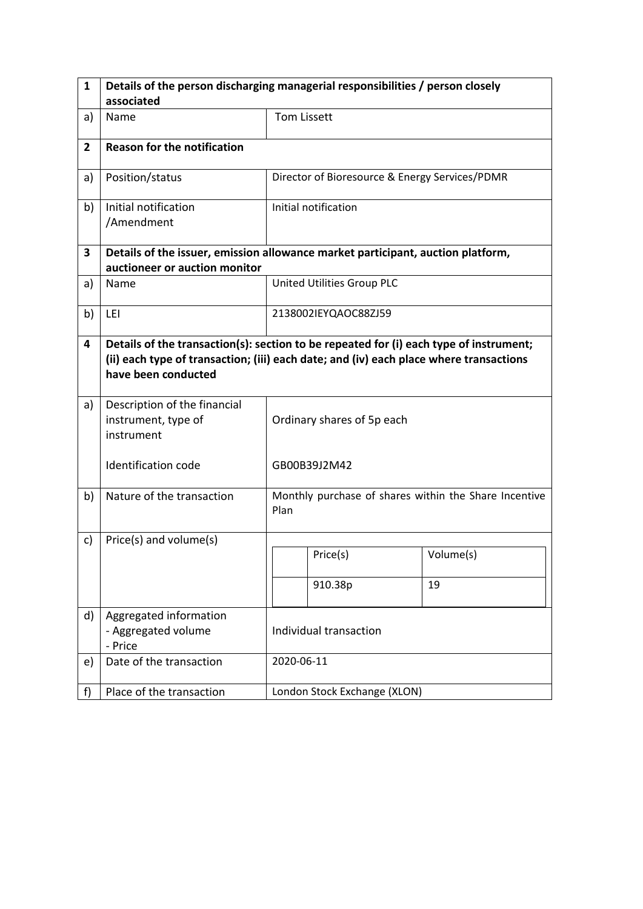| $\mathbf{1}$   | Details of the person discharging managerial responsibilities / person closely                                                                                                                          |                            |                                                |                                                       |  |
|----------------|---------------------------------------------------------------------------------------------------------------------------------------------------------------------------------------------------------|----------------------------|------------------------------------------------|-------------------------------------------------------|--|
|                | associated                                                                                                                                                                                              |                            |                                                |                                                       |  |
| a)             | Name                                                                                                                                                                                                    | <b>Tom Lissett</b>         |                                                |                                                       |  |
| $\overline{2}$ | <b>Reason for the notification</b>                                                                                                                                                                      |                            |                                                |                                                       |  |
| a)             | Position/status                                                                                                                                                                                         |                            | Director of Bioresource & Energy Services/PDMR |                                                       |  |
| b)             | Initial notification<br>/Amendment                                                                                                                                                                      |                            | Initial notification                           |                                                       |  |
| 3              | Details of the issuer, emission allowance market participant, auction platform,<br>auctioneer or auction monitor                                                                                        |                            |                                                |                                                       |  |
| a)             | Name                                                                                                                                                                                                    |                            | United Utilities Group PLC                     |                                                       |  |
| b)             | LEI                                                                                                                                                                                                     |                            | 2138002IEYQAOC88ZJ59                           |                                                       |  |
| 4              | Details of the transaction(s): section to be repeated for (i) each type of instrument;<br>(ii) each type of transaction; (iii) each date; and (iv) each place where transactions<br>have been conducted |                            |                                                |                                                       |  |
| a)             | Description of the financial<br>instrument, type of<br>instrument                                                                                                                                       | Ordinary shares of 5p each |                                                |                                                       |  |
|                | <b>Identification code</b>                                                                                                                                                                              |                            | GB00B39J2M42                                   |                                                       |  |
| b)             | Nature of the transaction                                                                                                                                                                               | Plan                       |                                                | Monthly purchase of shares within the Share Incentive |  |
| c)             | Price(s) and volume(s)                                                                                                                                                                                  |                            |                                                |                                                       |  |
|                |                                                                                                                                                                                                         |                            | Price(s)                                       | Volume(s)                                             |  |
|                |                                                                                                                                                                                                         |                            | 910.38p                                        | 19                                                    |  |
| d)             | Aggregated information<br>- Aggregated volume<br>- Price                                                                                                                                                | Individual transaction     |                                                |                                                       |  |
| e)             | Date of the transaction                                                                                                                                                                                 |                            | 2020-06-11                                     |                                                       |  |
| f)             | Place of the transaction                                                                                                                                                                                |                            | London Stock Exchange (XLON)                   |                                                       |  |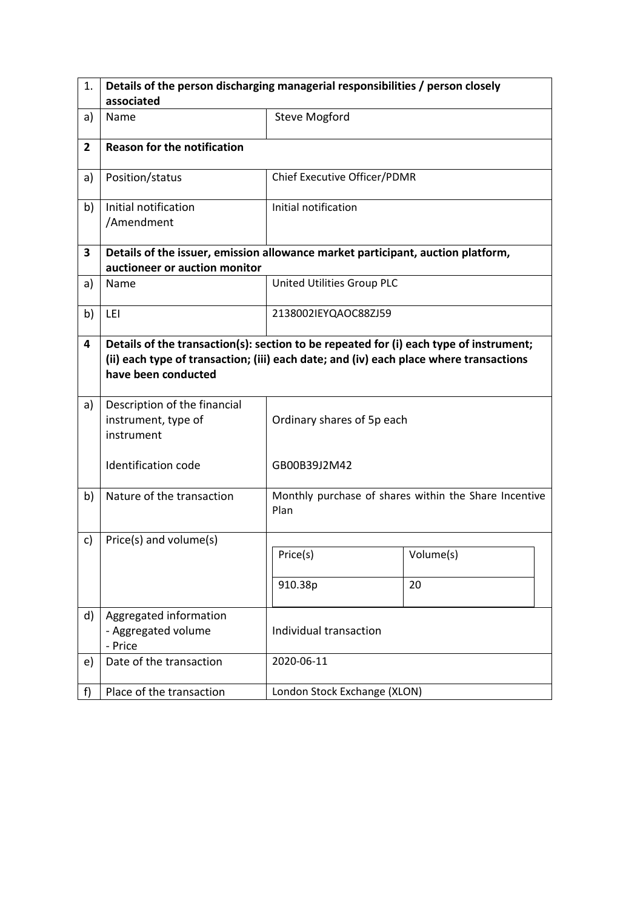| 1.             | Details of the person discharging managerial responsibilities / person closely                                                                                                                          |                              |                                                       |  |  |  |
|----------------|---------------------------------------------------------------------------------------------------------------------------------------------------------------------------------------------------------|------------------------------|-------------------------------------------------------|--|--|--|
|                | associated                                                                                                                                                                                              |                              |                                                       |  |  |  |
| a)             | Name                                                                                                                                                                                                    | <b>Steve Mogford</b>         |                                                       |  |  |  |
| $\overline{2}$ | <b>Reason for the notification</b>                                                                                                                                                                      |                              |                                                       |  |  |  |
| a)             | Position/status                                                                                                                                                                                         | Chief Executive Officer/PDMR |                                                       |  |  |  |
| b)             | Initial notification<br>/Amendment                                                                                                                                                                      | Initial notification         |                                                       |  |  |  |
| 3              | Details of the issuer, emission allowance market participant, auction platform,<br>auctioneer or auction monitor                                                                                        |                              |                                                       |  |  |  |
| a)             | Name                                                                                                                                                                                                    | United Utilities Group PLC   |                                                       |  |  |  |
| b)             | LEI                                                                                                                                                                                                     | 2138002IEYQAOC88ZJ59         |                                                       |  |  |  |
| 4              | Details of the transaction(s): section to be repeated for (i) each type of instrument;<br>(ii) each type of transaction; (iii) each date; and (iv) each place where transactions<br>have been conducted |                              |                                                       |  |  |  |
| a)             | Description of the financial<br>instrument, type of<br>instrument                                                                                                                                       | Ordinary shares of 5p each   |                                                       |  |  |  |
|                | <b>Identification code</b>                                                                                                                                                                              | GB00B39J2M42                 |                                                       |  |  |  |
| b)             | Nature of the transaction                                                                                                                                                                               | Plan                         | Monthly purchase of shares within the Share Incentive |  |  |  |
| c)             | Price(s) and volume(s)                                                                                                                                                                                  |                              |                                                       |  |  |  |
|                |                                                                                                                                                                                                         | Price(s)                     | Volume(s)                                             |  |  |  |
|                |                                                                                                                                                                                                         | 910.38p                      | 20                                                    |  |  |  |
| d)             | Aggregated information<br>- Aggregated volume<br>- Price                                                                                                                                                | Individual transaction       |                                                       |  |  |  |
| e)             | Date of the transaction                                                                                                                                                                                 | 2020-06-11                   |                                                       |  |  |  |
| f)             | Place of the transaction                                                                                                                                                                                | London Stock Exchange (XLON) |                                                       |  |  |  |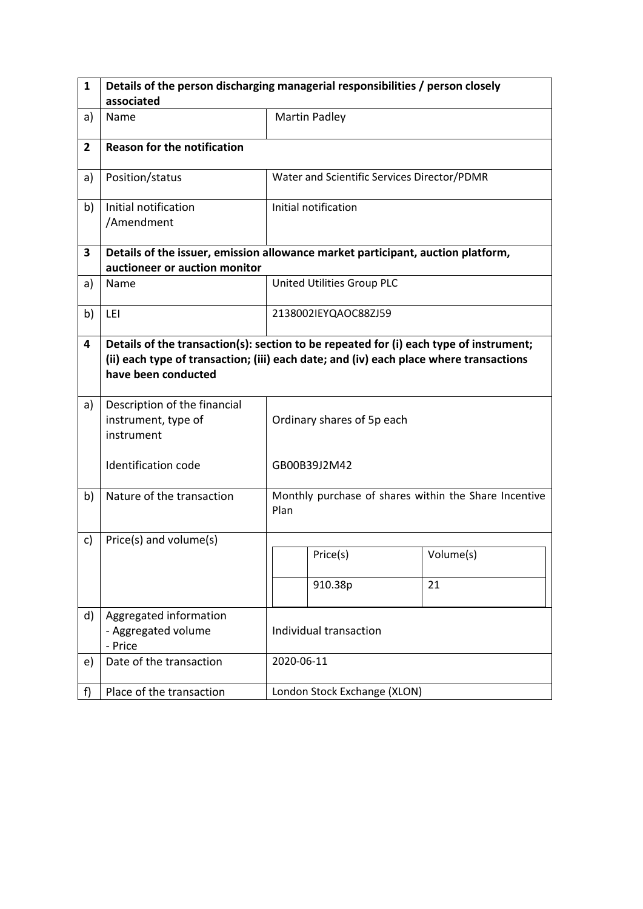| 1              | Details of the person discharging managerial responsibilities / person closely                                                                                                                          |                            |                                             |                                                       |  |
|----------------|---------------------------------------------------------------------------------------------------------------------------------------------------------------------------------------------------------|----------------------------|---------------------------------------------|-------------------------------------------------------|--|
|                | associated                                                                                                                                                                                              |                            |                                             |                                                       |  |
| a)             | Name                                                                                                                                                                                                    |                            | <b>Martin Padley</b>                        |                                                       |  |
| $\overline{2}$ | <b>Reason for the notification</b>                                                                                                                                                                      |                            |                                             |                                                       |  |
| a)             | Position/status                                                                                                                                                                                         |                            | Water and Scientific Services Director/PDMR |                                                       |  |
| b)             | Initial notification<br>/Amendment                                                                                                                                                                      |                            | Initial notification                        |                                                       |  |
| 3              | Details of the issuer, emission allowance market participant, auction platform,<br>auctioneer or auction monitor                                                                                        |                            |                                             |                                                       |  |
| a)             | Name                                                                                                                                                                                                    |                            | United Utilities Group PLC                  |                                                       |  |
| b)             | LEI                                                                                                                                                                                                     | 2138002IEYQAOC88ZJ59       |                                             |                                                       |  |
| 4              | Details of the transaction(s): section to be repeated for (i) each type of instrument;<br>(ii) each type of transaction; (iii) each date; and (iv) each place where transactions<br>have been conducted |                            |                                             |                                                       |  |
| a)             | Description of the financial<br>instrument, type of<br>instrument                                                                                                                                       | Ordinary shares of 5p each |                                             |                                                       |  |
|                | <b>Identification code</b>                                                                                                                                                                              |                            | GB00B39J2M42                                |                                                       |  |
| b)             | Nature of the transaction                                                                                                                                                                               | Plan                       |                                             | Monthly purchase of shares within the Share Incentive |  |
| c)             | Price(s) and volume(s)                                                                                                                                                                                  |                            |                                             |                                                       |  |
|                |                                                                                                                                                                                                         |                            | Price(s)                                    | Volume(s)                                             |  |
|                |                                                                                                                                                                                                         |                            | 910.38p                                     | 21                                                    |  |
| d)             | Aggregated information<br>- Aggregated volume<br>- Price                                                                                                                                                | Individual transaction     |                                             |                                                       |  |
| e)             | Date of the transaction                                                                                                                                                                                 |                            | 2020-06-11                                  |                                                       |  |
| f)             | Place of the transaction                                                                                                                                                                                |                            | London Stock Exchange (XLON)                |                                                       |  |